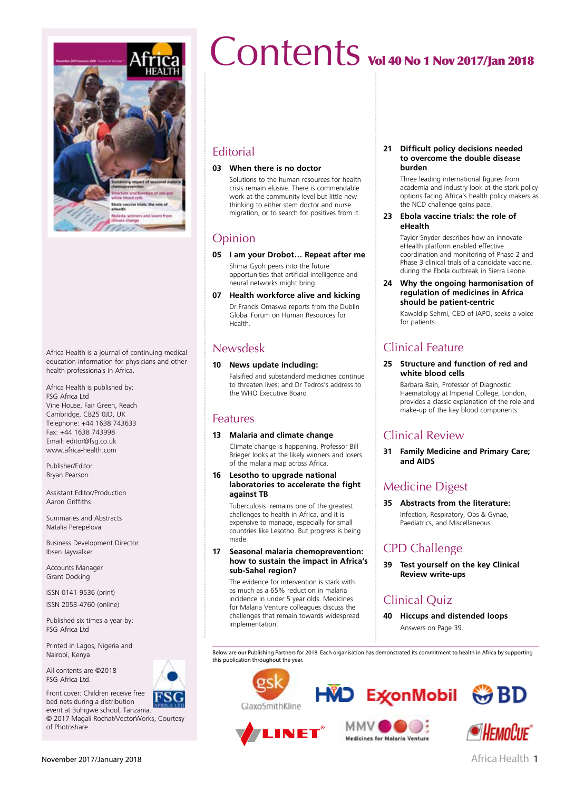

Africa Health is a journal of continuing medical education information for physicians and other health professionals in Africa.

Africa Health is published by: FSG Africa Ltd Vine House, Fair Green, Reach Cambridge, CB25 0JD, UK Telephone: +44 1638 743633 Fax: +44 1638 743998 Email: editor@fsg.co.uk www.africa-health.com

Publisher/Editor Bryan Pearson

Assistant Editor/Production Aaron Griffiths

Summaries and Abstracts Natalia Perepelova

Business Development Director Ibsen Jaywalker

Accounts Manager Grant Docking

ISSN 0141-9536 (print) ISSN 2053-4760 (online)

Published six times a year by: FSG Africa Ltd

Printed in Lagos, Nigeria and Nairobi, Kenya

Front cover: Children receive free bed nets during a distribution

All contents are ©2018 FSG Africa Ltd.



event at Buhigwe school, Tanzania. © 2017 Magali Rochat/VectorWorks, Courtesy of Photoshare

# Contents vol 40 No 1 Nov 2017/Jan 2018

## **Editorial**

#### **03 When there is no doctor**

Solutions to the human resources for health crisis remain elusive. There is commendable work at the community level but little new thinking to either stem doctor and nurse migration, or to search for positives from it.

# Opinion

**05 I am your Drobot… Repeat after me** Shima Gyoh peers into the future

opportunities that artificial intelligence and neural networks might bring.

**07 Health workforce alive and kicking** Dr Francis Omaswa reports from the Dublin Global Forum on Human Resources for Health.

# Newsdesk

#### **10 News update including:**

Falsified and substandard medicines continue to threaten lives; and Dr Tedros's address to the WHO Executive Board

### Features

#### **13 Malaria and climate change**

Climate change is happening. Professor Bill Brieger looks at the likely winners and losers of the malaria map across Africa.

**16 Lesotho to upgrade national laboratories to accelerate the fight against TB**

Tuberculosis remains one of the greatest challenges to health in Africa, and it is expensive to manage, especially for small countries like Lesotho. But progress is being made.

#### **17 Seasonal malaria chemoprevention: how to sustain the impact in Africa's sub-Sahel region?**

The evidence for intervention is stark with as much as a 65% reduction in malaria incidence in under 5 year olds. Medicines for Malaria Venture colleagues discuss the challenges that remain towards widespread implementation.

#### **21 Difficult policy decisions needed to overcome the double disease burden**

Three leading international figures from academia and industry look at the stark policy options facing Africa's health policy makers as the NCD challenge gains pace.

#### **23 Ebola vaccine trials: the role of eHealth**

Taylor Snyder describes how an innovate eHealth platform enabled effective coordination and monitoring of Phase 2 and Phase 3 clinical trials of a candidate vaccine, during the Ebola outbreak in Sierra Leone.

#### **24 Why the ongoing harmonisation of regulation of medicines in Africa should be patient-centric**

Kawaldip Sehmi, CEO of IAPO, seeks a voice for patients.

# Clinical Feature

#### **25 Structure and function of red and white blood cells**

Barbara Bain, Professor of Diagnostic Haematology at Imperial College, London, provides a classic explanation of the role and make-up of the key blood components.

# Clinical Review

**31 Family Medicine and Primary Care; and AIDS**

# Medicine Digest

**35 Abstracts from the literature:**  Infection, Respiratory, Obs & Gynae,

Paediatrics, and Miscellaneous

# CPD Challenge

**39 Test yourself on the key Clinical Review write-ups**

# Clinical Quiz

**40 Hiccups and distended loops** Answers on Page 39.

Below are our Publishing Partners for 2018. Each organisation has demonstrated its commitment to health in Africa by supporting this publication throughout the year.



LINET









November 2017/January 2018 2018 2018 2018 2019 2018 2019 2019 2020 2021 2021 2022 2022 2023 2024 2022 2023 202